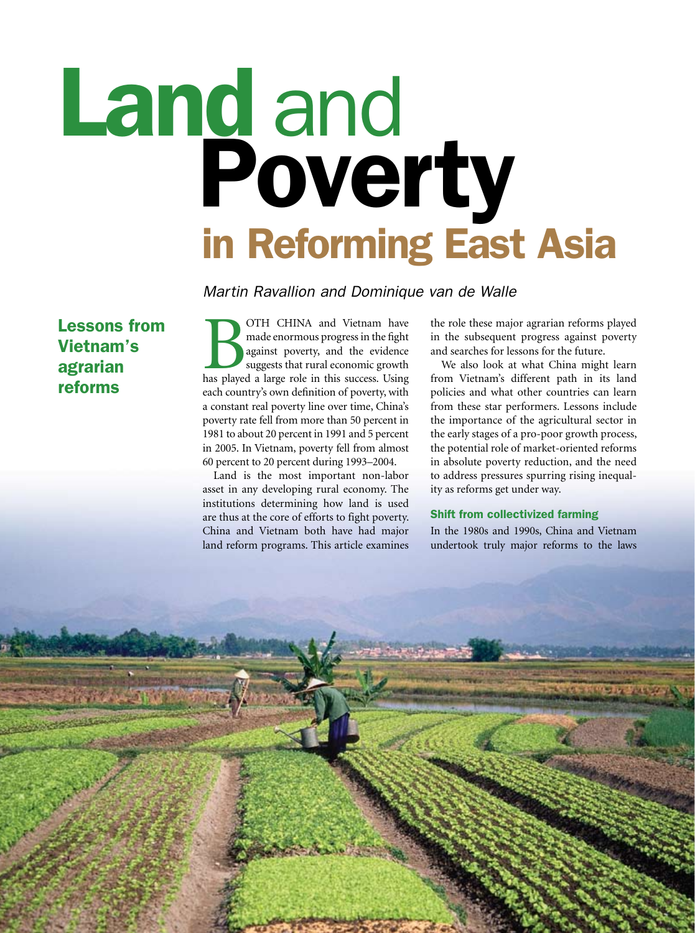# Land and<br>Poverty<br>in Reforming East Asia

 *Martin Ravallion and Dominique van de Walle*

Lessons from Vietnam's agrarian reforms

OTH CHINA and Vietnam have made enormous progress in the fight against poverty, and the evidence suggests that rural economic growth has played a large role in this success. Using made enormous progress in the fight against poverty, and the evidence suggests that rural economic growth each country's own definition of poverty, with a constant real poverty line over time, China's poverty rate fell from more than 50 percent in 1981 to about 20 percent in 1991 and 5 percent in 2005. In Vietnam, poverty fell from almost  $60$  percent to 20 percent during 1993–2004.

Land is the most important non-labor asset in any developing rural economy. The institutions determining how land is used are thus at the core of efforts to fight poverty. China and Vietnam both have had major land reform programs. This article examines

the role these major agrarian reforms played in the subsequent progress against poverty and searches for lessons for the future.

We also look at what China might learn from Vietnam's different path in its land policies and what other countries can learn from these star performers. Lessons include the importance of the agricultural sector in the early stages of a pro-poor growth process, the potential role of market-oriented reforms in absolute poverty reduction, and the need to address pressures spurring rising inequality as reforms get under way.

# Shift from collectivized farming

In the 1980s and 1990s, China and Vietnam undertook truly major reforms to the laws

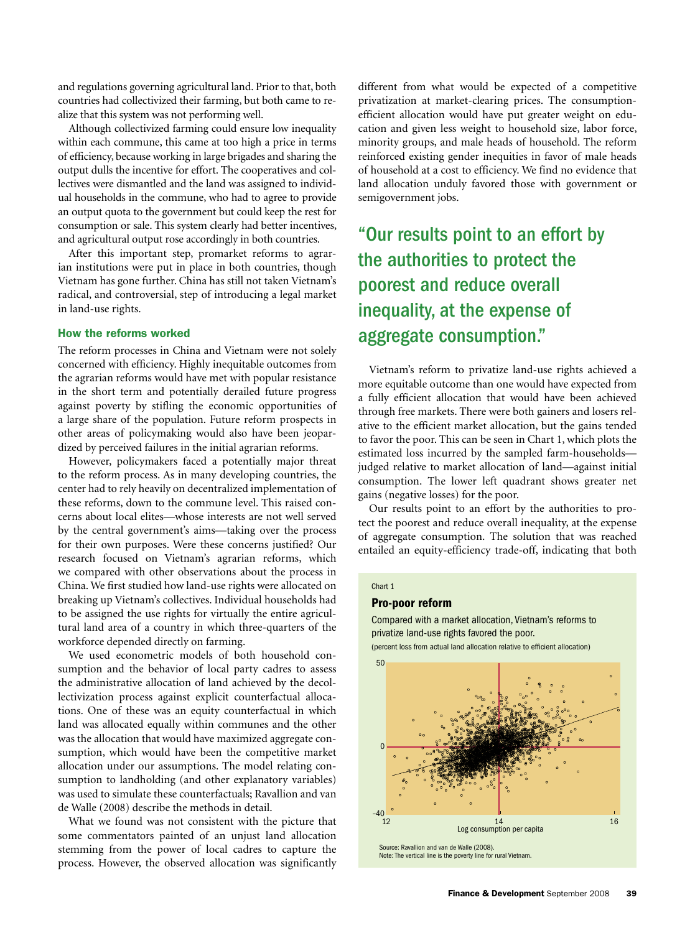and regulations governing agricultural land. Prior to that, both countries had collectivized their farming, but both came to realize that this system was not performing well.-

Although collectivized farming could ensure low inequality within each commune, this came at too high a price in terms of efficiency, because working in large brigades and sharing the output dulls the incentive for effort. The cooperatives and collectives were dismantled and the land was assigned to individual households in the commune, who had to agree to provide an output quota to the government but could keep the rest for consumption or sale. This system clearly had better incentives, and agricultural output rose accordingly in both countries.

After this important step, promarket reforms to agrarian institutions were put in place in both countries, though Vietnam has gone further. China has still not taken Vietnam's radical, and controversial, step of introducing a legal market in land-use rights.

# How the reforms worked

The reform processes in China and Vietnam were not solely concerned with efficiency. Highly inequitable outcomes from the agrarian reforms would have met with popular resistance in the short term and potentially derailed future progress against poverty by stifling the economic opportunities of a large share of the population. Future reform prospects in other areas of policymaking would also have been jeopardized by perceived failures in the initial agrarian reforms.

However, policymakers faced a potentially major threat to the reform process. As in many developing countries, the center had to rely heavily on decentralized implementation of these reforms, down to the commune level. This raised concerns about local elites—whose interests are not well served by the central government's aims—taking over the process for their own purposes. Were these concerns justified? Our research focused on Vietnam's agrarian reforms, which we compared with other observations about the process in China. We first studied how land-use rights were allocated on breaking up Vietnam's collectives. Individual households had to be assigned the use rights for virtually the entire agricultural land area of a country in which three-quarters of the workforce depended directly on farming.-

We used econometric models of both household consumption and the behavior of local party cadres to assess the administrative allocation of land achieved by the decollectivization process against explicit counterfactual allocations. One of these was an equity counterfactual in which land was allocated equally within communes and the other was the allocation that would have maximized aggregate consumption, which would have been the competitive market allocation under our assumptions. The model relating consumption to landholding (and other explanatory variables) was used to simulate these counterfactuals; Ravallion and van de Walle (2008) describe the methods in detail.-

What we found was not consistent with the picture that some commentators painted of an unjust land allocation stemming from the power of local cadres to capture the process. However, the observed allocation was significantly

different from what would be expected of a competitive privatization at market-clearing prices. The consumptionefficient allocation would have put greater weight on education and given less weight to household size, labor force, minority groups, and male heads of household. The reform reinforced existing gender inequities in favor of male heads of household at a cost to efficiency. We find no evidence that land allocation unduly favored those with government or semigovernment jobs.

# "Our results point to an effort by the authorities to protect the poorest and reduce overall inequality, at the expense of aggregate consumption."

Vietnam's reform to privatize land-use rights achieved a more equitable outcome than one would have expected from a fully efficient allocation that would have been achieved through free markets. There were both gainers and losers relative to the efficient market allocation, but the gains tended to favor the poor. This can be seen in Chart 1, which plots the estimated loss incurred by the sampled farm-households judged relative to market allocation of land—against initial consumption. The lower left quadrant shows greater net gains (negative losses) for the poor.

Our results point to an effort by the authorities to protect the poorest and reduce overall inequality, at the expense of aggregate consumption. The solution that was reached entailed an equity-efficiency trade-off, indicating that both

### Chart 1

### Pro-poor reform

Compared with a market allocation, Vietnam's reforms to privatize land-use rights favored the poor.

(percent loss from actual land allocation relative to efficient allocation)



Note: The vertical line is the poverty line for rural Vietnam.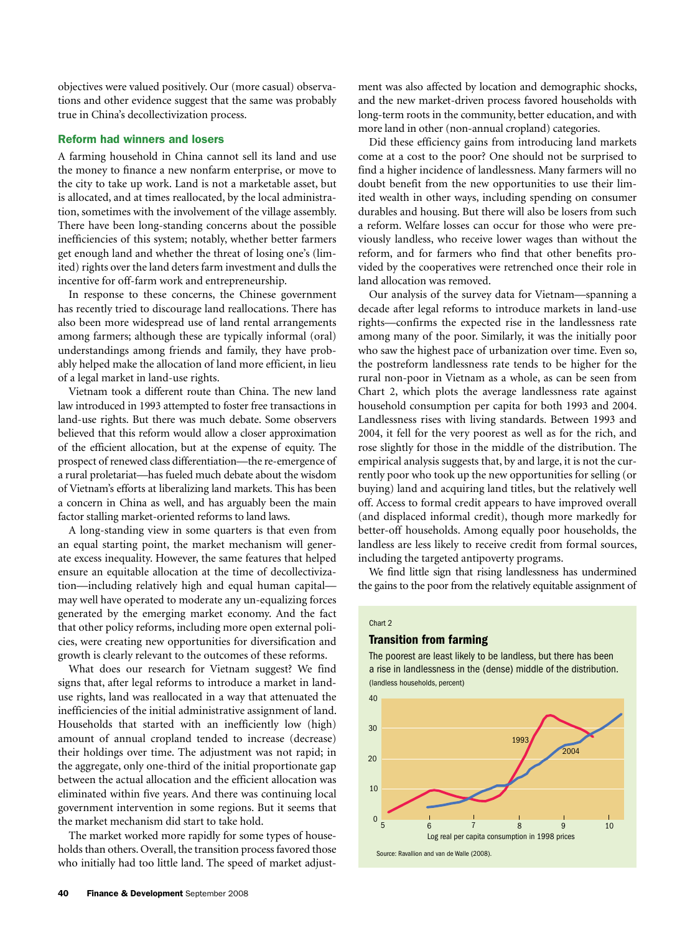objectives were valued positively. Our (more casual) observations and other evidence suggest that the same was probably true in China's decollectivization process.-

# Reform had winners and losers

A farming household in China cannot sell its land and use the money to finance a new nonfarm enterprise, or move to the city to take up work. Land is not a marketable asset, but is allocated, and at times reallocated, by the local administration, sometimes with the involvement of the village assembly. There have been long-standing concerns about the possible inefficiencies of this system; notably, whether better farmers get enough land and whether the threat of losing one's (limited) rights over the land deters farm investment and dulls the incentive for off-farm work and entrepreneurship.

In response to these concerns, the Chinese government has recently tried to discourage land reallocations. There has also been more widespread use of land rental arrangements among farmers; although these are typically informal (oral) understandings among friends and family, they have probably helped make the allocation of land more efficient, in lieu of a legal market in land-use rights.-

Vietnam took a different route than China. The new land law introduced in 1993 attempted to foster free transactions in land-use rights. But there was much debate. Some observers believed that this reform would allow a closer approximation of the efficient allocation, but at the expense of equity. The prospect of renewed class differentiation—the re-emergence of a rural proletariat—has fueled much debate about the wisdom of Vietnam's efforts at liberalizing land markets. This has been a concern in China as well, and has arguably been the main factor stalling market-oriented reforms to land laws.

A long-standing view in some quarters is that even from an equal starting point, the market mechanism will generate excess inequality. However, the same features that helped ensure an equitable allocation at the time of decollectivization—including relatively high and equal human capital may well have operated to moderate any un-equalizing forces generated by the emerging market economy. And the fact that other policy reforms, including more open external policies, were creating new opportunities for diversification and growth is clearly relevant to the outcomes of these reforms.

What does our research for Vietnam suggest? We find signs that, after legal reforms to introduce a market in landuse rights, land was reallocated in a way that attenuated the inefficiencies of the initial administrative assignment of land. Households that started with an inefficiently low (high) amount of annual cropland tended to increase (decrease) their holdings over time. The adjustment was not rapid; in the aggregate, only one-third of the initial proportionate gap between the actual allocation and the efficient allocation was eliminated within five years. And there was continuing local government intervention in some regions. But it seems that the market mechanism did start to take hold.-

The market worked more rapidly for some types of households than others. Overall, the transition process favored those who initially had too little land. The speed of market adjust-

ment was also affected by location and demographic shocks, and the new market-driven process favored households with long-term roots in the community, better education, and with more land in other (non-annual cropland) categories.-

Did these efficiency gains from introducing land markets come at a cost to the poor? One should not be surprised to find a higher incidence of landlessness. Many farmers will no doubt benefit from the new opportunities to use their limited wealth in other ways, including spending on consumer durables and housing. But there will also be losers from such a reform. Welfare losses can occur for those who were previously landless, who receive lower wages than without the reform, and for farmers who find that other benefits provided by the cooperatives were retrenched once their role in land allocation was removed.

Our analysis of the survey data for Vietnam—spanning a decade after legal reforms to introduce markets in land-use rights—confirms the expected rise in the landlessness rate among many of the poor. Similarly, it was the initially poor who saw the highest pace of urbanization over time. Even so, the postreform landlessness rate tends to be higher for the rural non-poor in Vietnam as a whole, as can be seen from Chart 2, which plots the average landlessness rate against household consumption per capita for both 1993 and 2004. Landlessness rises with living standards. Between 1993 and 2004, it fell for the very poorest as well as for the rich, and rose slightly for those in the middle of the distribution. The empirical analysis suggests that, by and large, it is not the currently poor who took up the new opportunities for selling (or buying) land and acquiring land titles, but the relatively well off. Access to formal credit appears to have improved overall (and displaced informal credit), though more markedly for better-off households. Among equally poor households, the landless are less likely to receive credit from formal sources, including the targeted antipoverty programs.

We find little sign that rising landlessness has undermined the gains to the poor from the relatively equitable assignment of

### Chart 2

### Transition from farming

The poorest are least likely to be landless, but there has been a rise in landlessness in the (dense) middle of the distribution. (landless households, percent)